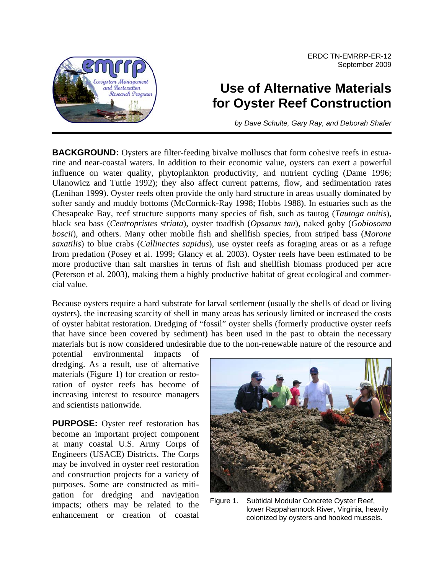ERDC TN-EMRRP-ER-12 September 2009



## **Use of Alternative Materials for Oyster Reef Construction**

*by Dave Schulte, Gary Ray, and Deborah Shafer*

**BACKGROUND:** Oysters are filter-feeding bivalve molluscs that form cohesive reefs in estuarine and near-coastal waters. In addition to their economic value, oysters can exert a powerful influence on water quality, phytoplankton productivity, and nutrient cycling (Dame 1996; Ulanowicz and Tuttle 1992); they also affect current patterns, flow, and sedimentation rates (Lenihan 1999). Oyster reefs often provide the only hard structure in areas usually dominated by softer sandy and muddy bottoms (McCormick-Ray 1998; Hobbs 1988). In estuaries such as the Chesapeake Bay, reef structure supports many species of fish, such as tautog (*Tautoga onitis*), black sea bass (*Centropristes striata*), oyster toadfish (*Opsanus tau*), naked goby (*Gobiosoma boscii*), and others. Many other mobile fish and shellfish species, from striped bass (*Morone saxatilis*) to blue crabs (*Callinectes sapidus*), use oyster reefs as foraging areas or as a refuge from predation (Posey et al. 1999; Glancy et al. 2003). Oyster reefs have been estimated to be more productive than salt marshes in terms of fish and shellfish biomass produced per acre (Peterson et al. 2003), making them a highly productive habitat of great ecological and commercial value.

Because oysters require a hard substrate for larval settlement (usually the shells of dead or living oysters), the increasing scarcity of shell in many areas has seriously limited or increased the costs of oyster habitat restoration. Dredging of "fossil" oyster shells (formerly productive oyster reefs that have since been covered by sediment) has been used in the past to obtain the necessary materials but is now considered undesirable due to the non-renewable nature of the resource and

potential environmental impacts dredging. As a result, use of alternative materials (Figure 1) for creation or restoration of oyster reefs has become of increasing interest to resource managers and scientists nationwide.

**PURPOSE:** Oyster reef restoration has become an important project component at many coastal U.S. Army Corps of Engineers (USACE) Districts. The Corps may be involved in oyster reef restoration and construction projects for a variety of purposes. Some are constructed as mitigation for dredging and navigation impacts; others may be related to the enhancement or creation of coastal



Figure 1. Subtidal Modular Concrete Oyster Reef, lower Rappahannock River, Virginia, heavily colonized by oysters and hooked mussels.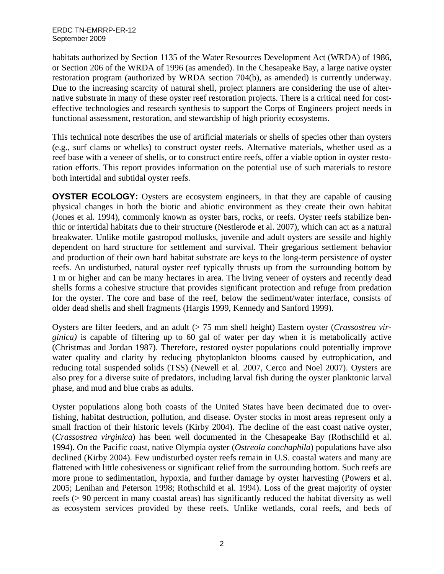habitats authorized by Section 1135 of the Water Resources Development Act (WRDA) of 1986, or Section 206 of the WRDA of 1996 (as amended). In the Chesapeake Bay, a large native oyster restoration program (authorized by WRDA section 704(b), as amended) is currently underway. Due to the increasing scarcity of natural shell, project planners are considering the use of alternative substrate in many of these oyster reef restoration projects. There is a critical need for costeffective technologies and research synthesis to support the Corps of Engineers project needs in functional assessment, restoration, and stewardship of high priority ecosystems.

This technical note describes the use of artificial materials or shells of species other than oysters (e.g., surf clams or whelks) to construct oyster reefs. Alternative materials, whether used as a reef base with a veneer of shells, or to construct entire reefs, offer a viable option in oyster restoration efforts. This report provides information on the potential use of such materials to restore both intertidal and subtidal oyster reefs.

**OYSTER ECOLOGY:** Oysters are ecosystem engineers, in that they are capable of causing physical changes in both the biotic and abiotic environment as they create their own habitat (Jones et al. 1994), commonly known as oyster bars, rocks, or reefs. Oyster reefs stabilize benthic or intertidal habitats due to their structure (Nestlerode et al. 2007), which can act as a natural breakwater. Unlike motile gastropod mollusks, juvenile and adult oysters are sessile and highly dependent on hard structure for settlement and survival. Their gregarious settlement behavior and production of their own hard habitat substrate are keys to the long-term persistence of oyster reefs. An undisturbed, natural oyster reef typically thrusts up from the surrounding bottom by 1 m or higher and can be many hectares in area. The living veneer of oysters and recently dead shells forms a cohesive structure that provides significant protection and refuge from predation for the oyster. The core and base of the reef, below the sediment/water interface, consists of older dead shells and shell fragments (Hargis 1999, Kennedy and Sanford 1999).

Oysters are filter feeders, and an adult (> 75 mm shell height) Eastern oyster (*Crassostrea virginica)* is capable of filtering up to 60 gal of water per day when it is metabolically active (Christmas and Jordan 1987). Therefore, restored oyster populations could potentially improve water quality and clarity by reducing phytoplankton blooms caused by eutrophication, and reducing total suspended solids (TSS) (Newell et al. 2007, Cerco and Noel 2007). Oysters are also prey for a diverse suite of predators, including larval fish during the oyster planktonic larval phase, and mud and blue crabs as adults.

Oyster populations along both coasts of the United States have been decimated due to overfishing, habitat destruction, pollution, and disease. Oyster stocks in most areas represent only a small fraction of their historic levels (Kirby 2004). The decline of the east coast native oyster, (*Crassostrea virginica*) has been well documented in the Chesapeake Bay (Rothschild et al. 1994). On the Pacific coast, native Olympia oyster (*Ostreola conchaphila*) populations have also declined (Kirby 2004). Few undisturbed oyster reefs remain in U.S. coastal waters and many are flattened with little cohesiveness or significant relief from the surrounding bottom. Such reefs are more prone to sedimentation, hypoxia, and further damage by oyster harvesting (Powers et al. 2005; Lenihan and Peterson 1998; Rothschild et al. 1994). Loss of the great majority of oyster reefs (> 90 percent in many coastal areas) has significantly reduced the habitat diversity as well as ecosystem services provided by these reefs. Unlike wetlands, coral reefs, and beds of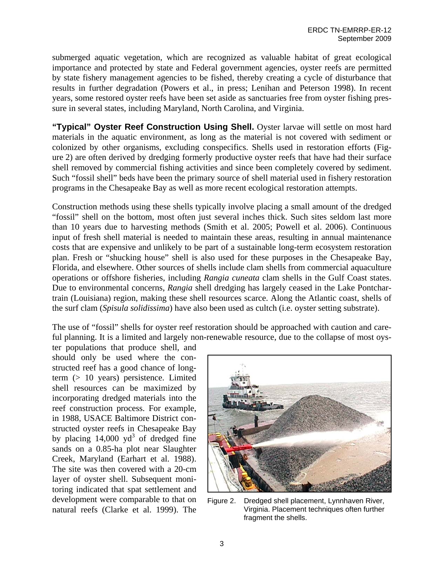submerged aquatic vegetation, which are recognized as valuable habitat of great ecological importance and protected by state and Federal government agencies, oyster reefs are permitted by state fishery management agencies to be fished, thereby creating a cycle of disturbance that results in further degradation (Powers et al., in press; Lenihan and Peterson 1998). In recent years, some restored oyster reefs have been set aside as sanctuaries free from oyster fishing pressure in several states, including Maryland, North Carolina, and Virginia.

**"Typical" Oyster Reef Construction Using Shell.** Oyster larvae will settle on most hard materials in the aquatic environment, as long as the material is not covered with sediment or colonized by other organisms, excluding conspecifics. Shells used in restoration efforts (Figure 2) are often derived by dredging formerly productive oyster reefs that have had their surface shell removed by commercial fishing activities and since been completely covered by sediment. Such "fossil shell" beds have been the primary source of shell material used in fishery restoration programs in the Chesapeake Bay as well as more recent ecological restoration attempts.

Construction methods using these shells typically involve placing a small amount of the dredged "fossil" shell on the bottom, most often just several inches thick. Such sites seldom last more than 10 years due to harvesting methods (Smith et al. 2005; Powell et al. 2006). Continuous input of fresh shell material is needed to maintain these areas, resulting in annual maintenance costs that are expensive and unlikely to be part of a sustainable long-term ecosystem restoration plan. Fresh or "shucking house" shell is also used for these purposes in the Chesapeake Bay, Florida, and elsewhere. Other sources of shells include clam shells from commercial aquaculture operations or offshore fisheries, including *Rangia cuneata* clam shells in the Gulf Coast states. Due to environmental concerns, *Rangia* shell dredging has largely ceased in the Lake Pontchartrain (Louisiana) region, making these shell resources scarce. Along the Atlantic coast, shells of the surf clam (*Spisula solidissima*) have also been used as cultch (i.e. oyster setting substrate).

The use of "fossil" shells for oyster reef restoration should be approached with caution and careful planning. It is a limited and largely non-renewable resource, due to the collapse of most oys-

ter populations that produce shell, and should only be used where the constructed reef has a good chance of longterm (> 10 years) persistence. Limited shell resources can be maximized by incorporating dredged materials into the reef construction process. For example, in 1988, USACE Baltimore District constructed oyster reefs in Chesapeake Bay by placing  $14,000 \text{ yd}^3$  of dredged fine sands on a 0.85-ha plot near Slaughter Creek, Maryland (Earhart et al. 1988). The site was then covered with a 20-cm layer of oyster shell. Subsequent monitoring indicated that spat settlement and development were comparable to that on natural reefs (Clarke et al. 1999). The



Figure 2. Dredged shell placement, Lynnhaven River, Virginia. Placement techniques often further fragment the shells.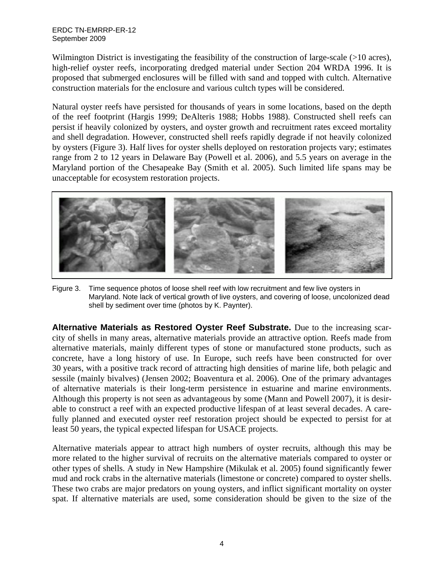## ERDC TN-EMRRP-ER-12 September 2009

Wilmington District is investigating the feasibility of the construction of large-scale (>10 acres), high-relief oyster reefs, incorporating dredged material under Section 204 WRDA 1996. It is proposed that submerged enclosures will be filled with sand and topped with cultch. Alternative construction materials for the enclosure and various cultch types will be considered.

Natural oyster reefs have persisted for thousands of years in some locations, based on the depth of the reef footprint (Hargis 1999; DeAlteris 1988; Hobbs 1988). Constructed shell reefs can persist if heavily colonized by oysters, and oyster growth and recruitment rates exceed mortality and shell degradation. However, constructed shell reefs rapidly degrade if not heavily colonized by oysters (Figure 3). Half lives for oyster shells deployed on restoration projects vary; estimates range from 2 to 12 years in Delaware Bay (Powell et al. 2006), and 5.5 years on average in the Maryland portion of the Chesapeake Bay (Smith et al. 2005). Such limited life spans may be unacceptable for ecosystem restoration projects.



Figure 3. Time sequence photos of loose shell reef with low recruitment and few live oysters in Maryland. Note lack of vertical growth of live oysters, and covering of loose, uncolonized dead shell by sediment over time (photos by K. Paynter).

**Alternative Materials as Restored Oyster Reef Substrate.** Due to the increasing scarcity of shells in many areas, alternative materials provide an attractive option. Reefs made from alternative materials, mainly different types of stone or manufactured stone products, such as concrete, have a long history of use. In Europe, such reefs have been constructed for over 30 years, with a positive track record of attracting high densities of marine life, both pelagic and sessile (mainly bivalves) (Jensen 2002; Boaventura et al. 2006). One of the primary advantages of alternative materials is their long-term persistence in estuarine and marine environments. Although this property is not seen as advantageous by some (Mann and Powell 2007), it is desirable to construct a reef with an expected productive lifespan of at least several decades. A carefully planned and executed oyster reef restoration project should be expected to persist for at least 50 years, the typical expected lifespan for USACE projects.

Alternative materials appear to attract high numbers of oyster recruits, although this may be more related to the higher survival of recruits on the alternative materials compared to oyster or other types of shells. A study in New Hampshire (Mikulak et al. 2005) found significantly fewer mud and rock crabs in the alternative materials (limestone or concrete) compared to oyster shells. These two crabs are major predators on young oysters, and inflict significant mortality on oyster spat. If alternative materials are used, some consideration should be given to the size of the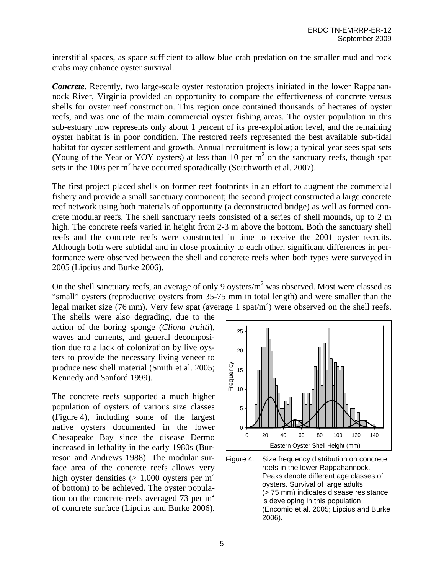interstitial spaces, as space sufficient to allow blue crab predation on the smaller mud and rock crabs may enhance oyster survival.

*Concrete.* Recently, two large-scale oyster restoration projects initiated in the lower Rappahannock River, Virginia provided an opportunity to compare the effectiveness of concrete versus shells for oyster reef construction. This region once contained thousands of hectares of oyster reefs, and was one of the main commercial oyster fishing areas. The oyster population in this sub-estuary now represents only about 1 percent of its pre-exploitation level, and the remaining oyster habitat is in poor condition. The restored reefs represented the best available sub-tidal habitat for oyster settlement and growth. Annual recruitment is low; a typical year sees spat sets (Young of the Year or YOY oysters) at less than 10 per  $m<sup>2</sup>$  on the sanctuary reefs, though spat sets in the 100s per  $m^2$  have occurred sporadically (Southworth et al. 2007).

The first project placed shells on former reef footprints in an effort to augment the commercial fishery and provide a small sanctuary component; the second project constructed a large concrete reef network using both materials of opportunity (a deconstructed bridge) as well as formed concrete modular reefs. The shell sanctuary reefs consisted of a series of shell mounds, up to 2 m high. The concrete reefs varied in height from 2-3 m above the bottom. Both the sanctuary shell reefs and the concrete reefs were constructed in time to receive the 2001 oyster recruits. Although both were subtidal and in close proximity to each other, significant differences in performance were observed between the shell and concrete reefs when both types were surveyed in 2005 (Lipcius and Burke 2006).

On the shell sanctuary reefs, an average of only 9 oysters/ $m^2$  was observed. Most were classed as "small" oysters (reproductive oysters from 35-75 mm in total length) and were smaller than the legal market size (76 mm). Very few spat (average 1 spat/m<sup>2</sup>) were observed on the shell reefs.

The shells were also degrading, due to the action of the boring sponge (*Cliona truitti*), waves and currents, and general decomposition due to a lack of colonization by live oysters to provide the necessary living veneer to produce new shell material (Smith et al. 2005; Kennedy and Sanford 1999).

The concrete reefs supported a much higher population of oysters of various size classes (Figure 4), including some of the largest native oysters documented in the lower Chesapeake Bay since the disease Dermo increased in lethality in the early 1980s (Burreson and Andrews 1988). The modular surface area of the concrete reefs allows very high oyster densities ( $> 1,000$  oysters per m<sup>2</sup> of bottom) to be achieved. The oyster population on the concrete reefs averaged 73 per  $m<sup>2</sup>$ of concrete surface (Lipcius and Burke 2006).



Figure 4. Size frequency distribution on concrete reefs in the lower Rappahannock. Peaks denote different age classes of oysters. Survival of large adults (> 75 mm) indicates disease resistance is developing in this population (Encomio et al. 2005; Lipcius and Burke 2006).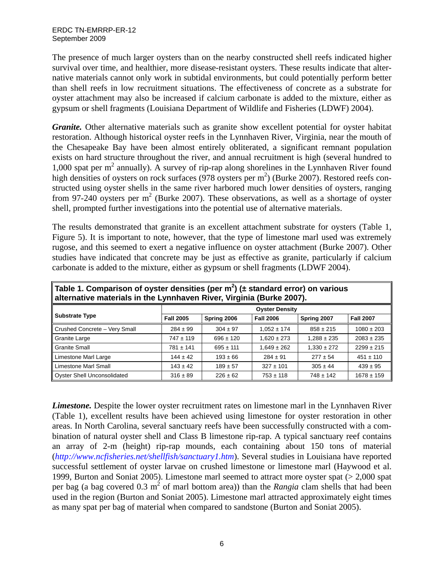The presence of much larger oysters than on the nearby constructed shell reefs indicated higher survival over time, and healthier, more disease-resistant oysters. These results indicate that alternative materials cannot only work in subtidal environments, but could potentially perform better than shell reefs in low recruitment situations. The effectiveness of concrete as a substrate for oyster attachment may also be increased if calcium carbonate is added to the mixture, either as gypsum or shell fragments (Louisiana Department of Wildlife and Fisheries (LDWF) 2004).

*Granite.* Other alternative materials such as granite show excellent potential for oyster habitat restoration. Although historical oyster reefs in the Lynnhaven River, Virginia, near the mouth of the Chesapeake Bay have been almost entirely obliterated, a significant remnant population exists on hard structure throughout the river, and annual recruitment is high (several hundred to 1,000 spat per  $m^2$  annually). A survey of rip-rap along shorelines in the Lynnhaven River found high densities of oysters on rock surfaces (978 oysters per  $m^2$ ) (Burke 2007). Restored reefs constructed using oyster shells in the same river harbored much lower densities of oysters, ranging from 97-240 oysters per  $m^2$  (Burke 2007). These observations, as well as a shortage of oyster shell, prompted further investigations into the potential use of alternative materials.

The results demonstrated that granite is an excellent attachment substrate for oysters (Table 1, Figure 5). It is important to note, however, that the type of limestone marl used was extremely rugose, and this seemed to exert a negative influence on oyster attachment (Burke 2007). Other studies have indicated that concrete may be just as effective as granite, particularly if calcium carbonate is added to the mixture, either as gypsum or shell fragments (LDWF 2004).

| $\parallel$ alternative materials in the Lynnhaven River, virginia (Burke 2007). |                       |               |                  |                 |                  |
|----------------------------------------------------------------------------------|-----------------------|---------------|------------------|-----------------|------------------|
| Substrate Type                                                                   | <b>Oyster Density</b> |               |                  |                 |                  |
|                                                                                  | <b>Fall 2005</b>      | Spring 2006   | <b>Fall 2006</b> | Spring 2007     | <b>Fall 2007</b> |
| Crushed Concrete - Very Small                                                    | $284 \pm 99$          | $304 \pm 97$  | $1,052 \pm 174$  | $858 \pm 215$   | $1080 \pm 203$   |
| Granite Large                                                                    | $747 \pm 119$         | $696 \pm 120$ | $1.620 \pm 273$  | $1.288 \pm 235$ | $2083 \pm 235$   |
| ll Granite Small                                                                 | $781 \pm 141$         | $695 \pm 111$ | $1,649 \pm 262$  | $1,330 \pm 272$ | $2299 \pm 215$   |
| Limestone Marl Large                                                             | $144 \pm 42$          | $193 \pm 66$  | $284 \pm 91$     | $277 \pm 54$    | $451 \pm 110$    |
| Il Limestone Marl Small                                                          | $143 \pm 42$          | $189 \pm 57$  | $327 \pm 101$    | $305 \pm 44$    | $439 \pm 95$     |
| Oyster Shell Unconsolidated                                                      | $316 \pm 89$          | $226 \pm 62$  | $753 \pm 118$    | $748 \pm 142$   | $1678 \pm 159$   |

Table 1. Comparison of oyster densities (per m<sup>2</sup>) (± standard error) on various **alternative materials in the Lynnhaven River, Virginia (Burke 2007).** 

*Limestone.* Despite the lower oyster recruitment rates on limestone marl in the Lynnhaven River (Table 1), excellent results have been achieved using limestone for oyster restoration in other areas. In North Carolina, several sanctuary reefs have been successfully constructed with a combination of natural oyster shell and Class B limestone rip-rap. A typical sanctuary reef contains an array of 2-m (height) rip-rap mounds, each containing about 150 tons of material (*http://www.ncfisheries.net/shellfish/sanctuary1.htm*). Several studies in Louisiana have reported successful settlement of oyster larvae on crushed limestone or limestone marl (Haywood et al. 1999, Burton and Soniat 2005). Limestone marl seemed to attract more oyster spat (> 2,000 spat per bag (a bag covered  $0.3 \text{ m}^2$  of marl bottom area)) than the *Rangia* clam shells that had been used in the region (Burton and Soniat 2005). Limestone marl attracted approximately eight times as many spat per bag of material when compared to sandstone (Burton and Soniat 2005).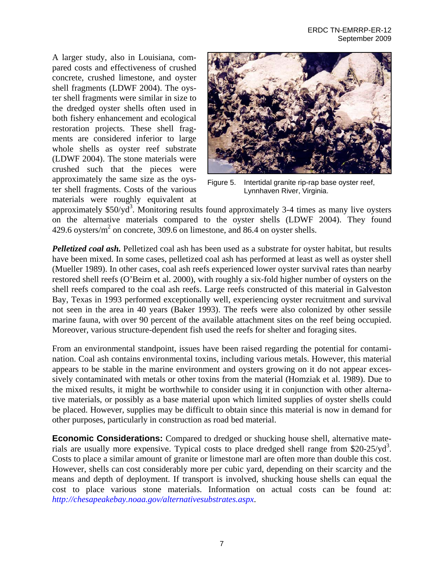A larger study, also in Louisiana, compared costs and effectiveness of crushed concrete, crushed limestone, and oyster shell fragments (LDWF 2004). The oyster shell fragments were similar in size to the dredged oyster shells often used in both fishery enhancement and ecological restoration projects. These shell fragments are considered inferior to large whole shells as oyster reef substrate (LDWF 2004). The stone materials were crushed such that the pieces were approximately the same size as the oyster shell fragments. Costs of the various materials were roughly equivalent at



Figure 5. Intertidal granite rip-rap base oyster reef, Lynnhaven River, Virginia.

approximately  $$50/yd^3$ . Monitoring results found approximately 3-4 times as many live oysters on the alternative materials compared to the oyster shells (LDWF 2004). They found 429.6 oysters/ $m^2$  on concrete, 309.6 on limestone, and 86.4 on oyster shells.

*Pelletized coal ash.* Pelletized coal ash has been used as a substrate for oyster habitat, but results have been mixed. In some cases, pelletized coal ash has performed at least as well as oyster shell (Mueller 1989). In other cases, coal ash reefs experienced lower oyster survival rates than nearby restored shell reefs (O'Beirn et al. 2000), with roughly a six-fold higher number of oysters on the shell reefs compared to the coal ash reefs. Large reefs constructed of this material in Galveston Bay, Texas in 1993 performed exceptionally well, experiencing oyster recruitment and survival not seen in the area in 40 years (Baker 1993). The reefs were also colonized by other sessile marine fauna, with over 90 percent of the available attachment sites on the reef being occupied. Moreover, various structure-dependent fish used the reefs for shelter and foraging sites.

From an environmental standpoint, issues have been raised regarding the potential for contamination. Coal ash contains environmental toxins, including various metals. However, this material appears to be stable in the marine environment and oysters growing on it do not appear excessively contaminated with metals or other toxins from the material (Homziak et al. 1989). Due to the mixed results, it might be worthwhile to consider using it in conjunction with other alternative materials, or possibly as a base material upon which limited supplies of oyster shells could be placed. However, supplies may be difficult to obtain since this material is now in demand for other purposes, particularly in construction as road bed material.

**Economic Considerations:** Compared to dredged or shucking house shell, alternative materials are usually more expensive. Typical costs to place dredged shell range from \$20-25/yd<sup>3</sup>. Costs to place a similar amount of granite or limestone marl are often more than double this cost. However, shells can cost considerably more per cubic yard, depending on their scarcity and the means and depth of deployment. If transport is involved, shucking house shells can equal the cost to place various stone materials. Information on actual costs can be found at: *<http://chesapeakebay.noaa.gov/alternativesubstrates.aspx>*.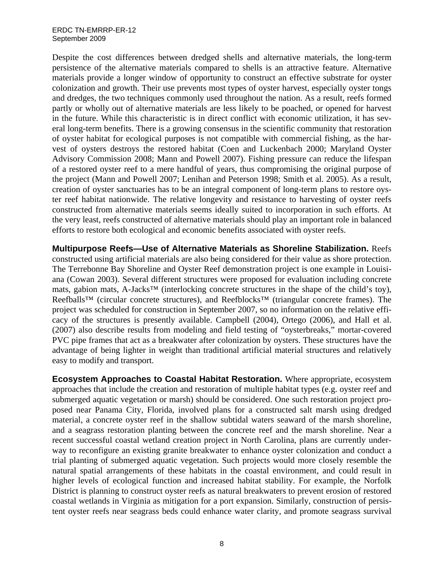## ERDC TN-EMRRP-ER-12 September 2009

Despite the cost differences between dredged shells and alternative materials, the long-term persistence of the alternative materials compared to shells is an attractive feature. Alternative materials provide a longer window of opportunity to construct an effective substrate for oyster colonization and growth. Their use prevents most types of oyster harvest, especially oyster tongs and dredges, the two techniques commonly used throughout the nation. As a result, reefs formed partly or wholly out of alternative materials are less likely to be poached, or opened for harvest in the future. While this characteristic is in direct conflict with economic utilization, it has several long-term benefits. There is a growing consensus in the scientific community that restoration of oyster habitat for ecological purposes is not compatible with commercial fishing, as the harvest of oysters destroys the restored habitat (Coen and Luckenbach 2000; Maryland Oyster Advisory Commission 2008; Mann and Powell 2007). Fishing pressure can reduce the lifespan of a restored oyster reef to a mere handful of years, thus compromising the original purpose of the project (Mann and Powell 2007; Lenihan and Peterson 1998; Smith et al. 2005). As a result, creation of oyster sanctuaries has to be an integral component of long-term plans to restore oyster reef habitat nationwide. The relative longevity and resistance to harvesting of oyster reefs constructed from alternative materials seems ideally suited to incorporation in such efforts. At the very least, reefs constructed of alternative materials should play an important role in balanced efforts to restore both ecological and economic benefits associated with oyster reefs.

**Multipurpose Reefs—Use of Alternative Materials as Shoreline Stabilization.** Reefs constructed using artificial materials are also being considered for their value as shore protection. The Terrebonne Bay Shoreline and Oyster Reef demonstration project is one example in Louisiana (Cowan 2003). Several different structures were proposed for evaluation including concrete mats, gabion mats, A-Jacks™ (interlocking concrete structures in the shape of the child's toy), Reefballs™ (circular concrete structures), and Reefblocks™ (triangular concrete frames). The project was scheduled for construction in September 2007, so no information on the relative efficacy of the structures is presently available. Campbell (2004), Ortego (2006), and Hall et al. (2007) also describe results from modeling and field testing of "oysterbreaks," mortar-covered PVC pipe frames that act as a breakwater after colonization by oysters. These structures have the advantage of being lighter in weight than traditional artificial material structures and relatively easy to modify and transport.

**Ecosystem Approaches to Coastal Habitat Restoration.** Where appropriate, ecosystem approaches that include the creation and restoration of multiple habitat types (e.g. oyster reef and submerged aquatic vegetation or marsh) should be considered. One such restoration project proposed near Panama City, Florida, involved plans for a constructed salt marsh using dredged material, a concrete oyster reef in the shallow subtidal waters seaward of the marsh shoreline, and a seagrass restoration planting between the concrete reef and the marsh shoreline. Near a recent successful coastal wetland creation project in North Carolina, plans are currently underway to reconfigure an existing granite breakwater to enhance oyster colonization and conduct a trial planting of submerged aquatic vegetation. Such projects would more closely resemble the natural spatial arrangements of these habitats in the coastal environment, and could result in higher levels of ecological function and increased habitat stability. For example, the Norfolk District is planning to construct oyster reefs as natural breakwaters to prevent erosion of restored coastal wetlands in Virginia as mitigation for a port expansion. Similarly, construction of persistent oyster reefs near seagrass beds could enhance water clarity, and promote seagrass survival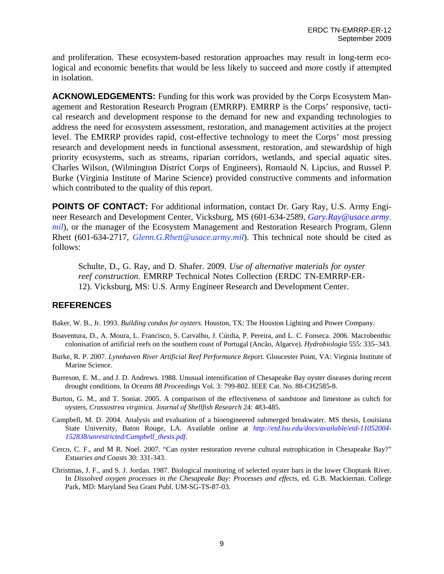and proliferation. These ecosystem-based restoration approaches may result in long-term ecological and economic benefits that would be less likely to succeed and more costly if attempted in isolation.

**ACKNOWLEDGEMENTS:** Funding for this work was provided by the Corps Ecosystem Management and Restoration Research Program (EMRRP). EMRRP is the Corps' responsive, tactical research and development response to the demand for new and expanding technologies to address the need for ecosystem assessment, restoration, and management activities at the project level. The EMRRP provides rapid, cost-effective technology to meet the Corps' most pressing research and development needs in functional assessment, restoration, and stewardship of high priority ecosystems, such as streams, riparian corridors, wetlands, and special aquatic sites. Charles Wilson, (Wilmington District Corps of Engineers), Romauld N. Lipcius, and Russel P. Burke (Virginia Institute of Marine Science) provided constructive comments and information which contributed to the quality of this report.

**POINTS OF CONTACT:** For additional information, contact Dr. Gary Ray, U.S. Army Engineer Research and Development Center, Vicksburg, MS (601-634-2589, *[Gary.Ray@usace.army](mailto:Gary.Ray@usace.army). mil*), or the manager of the Ecosystem Management and Restoration Research Program, Glenn Rhett (601-634-2717, *Glenn.G.Rhett@usace.army.mil*). This technical note should be cited as follows:

Schulte, D., G. Ray, and D. Shafer. 2009. *Use of alternative materials for oyster reef construction*. EMRRP Technical Notes Collection (ERDC TN-EMRRP-ER-12). Vicksburg, MS: U.S. Army Engineer Research and Development Center.

## **REFERENCES**

Baker, W. B., Jr. 1993. *Building condos for oysters*. Houston, TX: The Houston Lighting and Power Company.

- Boaventura, D., A. Moura, L. Francisco, S. Carvalho, J. Cúrdia, P. Pereira, and L. C. Fonseca. 2006. Macrobenthic colonisation of artificial reefs on the southern coast of Portugal (Ancão, Algarve). *Hydrobiologia* 555: 335–343.
- Burke, R. P. 2007. *Lynnhaven River Artificial Reef Performance Report*. Gloucester Point, VA: Virginia Institute of Marine Science.
- Burreson, E. M., and J. D. Andrews. 1988. Unusual intensification of Chesapeake Bay oyster diseases during recent drought conditions. In *Oceans 88 Proceedings* Vol. 3: 799-802. IEEE Cat. No. 88-CH2585-8.
- Burton, G. M., and T. Soniat. 2005. A comparison of the effectiveness of sandstone and limestone as cultch for oysters, *Crassostrea virginica*. *Journal of Shellfish Research* 24: 483-485.
- Campbell, M. D. 2004. Analysis and evaluation of a bioengineered submerged breakwater. MS thesis, Louisiana State University, Baton Rouge, LA. Available online at *[http://etd.lsu.edu/docs/available/etd-11052004-](http://etd.lsu.edu/docs/available/etd-11052004-152838/unrestricted/Campbell_thesis.pdf) [152838/unrestricted/Campbell\\_thesis.pdf](http://etd.lsu.edu/docs/available/etd-11052004-152838/unrestricted/Campbell_thesis.pdf)*.
- Cerco, C. F., and M R. Noel. 2007. "Can oyster restoration reverse cultural eutrophication in Chesapeake Bay?" *Estuaries and Coasts* 30: 331-343.
- Christmas, J. F., and S. J. Jordan. 1987. Biological monitoring of selected oyster bars in the lower Choptank River. In *Dissolved oxygen processes in the Chesapeake Bay: Processes and effects,* ed. G.B. Mackiernan. College Park, MD: Maryland Sea Grant Publ. UM-SG-TS-87-03.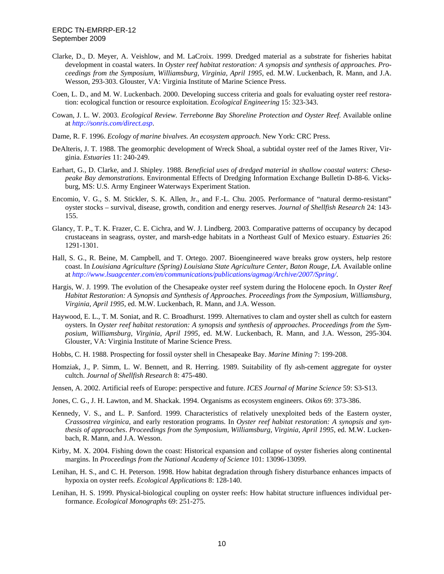- Clarke, D., D. Meyer, A. Veishlow, and M. LaCroix. 1999. Dredged material as a substrate for fisheries habitat development in coastal waters. In *Oyster reef habitat restoration: A synopsis and synthesis of approaches. Proceedings from the Symposium, Williamsburg, Virginia, April 1995*, ed. M.W. Luckenbach, R. Mann, and J.A. Wesson, 293-303. Glouster, VA: Virginia Institute of Marine Science Press.
- Coen, L. D., and M. W. Luckenbach. 2000. Developing success criteria and goals for evaluating oyster reef restoration: ecological function or resource exploitation. *Ecological Engineering* 15: 323-343.
- Cowan, J. L. W. 2003. *Ecological Review. Terrebonne Bay Shoreline Protection and Oyster Reef*. Available online at *<http://sonris.com/direct.asp>*.
- Dame, R. F. 1996. *Ecology of marine bivalves. An ecosystem approach*. New York: CRC Press.
- DeAlteris, J. T. 1988. The geomorphic development of Wreck Shoal, a subtidal oyster reef of the James River, Virginia. *Estuaries* 11: 240-249.
- Earhart, G., D. Clarke, and J. Shipley. 1988. *Beneficial uses of dredged material in shallow coastal waters: Chesapeake Bay demonstrations*. Environmental Effects of Dredging Information Exchange Bulletin D-88-6. Vicksburg, MS: U.S. Army Engineer Waterways Experiment Station.
- Encomio, V. G., S. M. Stickler, S. K. Allen, Jr., and F.-L. Chu. 2005. Performance of "natural dermo-resistant" oyster stocks – survival, disease, growth, condition and energy reserves. *Journal of Shellfish Research* 24: 143- 155.
- Glancy, T. P., T. K. Frazer, C. E. Cichra, and W. J. Lindberg. 2003. Comparative patterns of occupancy by decapod crustaceans in seagrass, oyster, and marsh-edge habitats in a Northeast Gulf of Mexico estuary. *Estuaries* 26: 1291-1301.
- Hall, S. G., R. Beine, M. Campbell, and T. Ortego. 2007. Bioengineered wave breaks grow oysters, help restore coast. In *Louisiana Agriculture (Spring) Louisiana State Agriculture Center, Baton Rouge, LA*. Available online at *<http://www.lsuagcenter.com/en/communications/publications/agmag/Archive/2007/Spring/>*.
- Hargis, W. J. 1999. The evolution of the Chesapeake oyster reef system during the Holocene epoch. In *Oyster Reef Habitat Restoration: A Synopsis and Synthesis of Approaches*. *Proceedings from the Symposium, Williamsburg, Virginia, April 1995*, ed. M.W. Luckenbach, R. Mann, and J.A. Wesson.
- Haywood, E. L., T. M. Soniat, and R. C. Broadhurst. 1999. Alternatives to clam and oyster shell as cultch for eastern oysters. In *Oyster reef habitat restoration: A synopsis and synthesis of approaches*. *Proceedings from the Symposium, Williamsburg, Virginia, April 1995*, ed. M.W. Luckenbach, R. Mann, and J.A. Wesson, 295-304. Glouster, VA: Virginia Institute of Marine Science Press.
- Hobbs, C. H. 1988. Prospecting for fossil oyster shell in Chesapeake Bay. *Marine Mining* 7: 199-208.
- Homziak, J., P. Simm, L. W. Bennett, and R. Herring. 1989. Suitability of fly ash-cement aggregate for oyster cultch. *Journal of Shellfish Research* 8: 475-480.
- Jensen, A. 2002. Artificial reefs of Europe: perspective and future. *ICES Journal of Marine Science* 59: S3-S13.
- Jones, C. G., J. H. Lawton, and M. Shackak. 1994. Organisms as ecosystem engineers. *Oikos* 69: 373-386.
- Kennedy, V. S., and L. P. Sanford. 1999. Characteristics of relatively unexploited beds of the Eastern oyster, *Crassostrea virginica,* and early restoration programs. In *Oyster reef habitat restoration: A synopsis and synthesis of approaches*. *Proceedings from the Symposium, Williamsburg, Virginia, April 1995*, ed. M.W. Luckenbach, R. Mann, and J.A. Wesson.
- Kirby, M. X. 2004. Fishing down the coast: Historical expansion and collapse of oyster fisheries along continental margins. In *Proceedings from the National Academy of Science* 101: 13096-13099.
- Lenihan, H. S., and C. H. Peterson. 1998. How habitat degradation through fishery disturbance enhances impacts of hypoxia on oyster reefs. *Ecological Applications* 8: 128-140.
- Lenihan, H. S. 1999. Physical-biological coupling on oyster reefs: How habitat structure influences individual performance. *Ecological Monographs* 69: 251-275.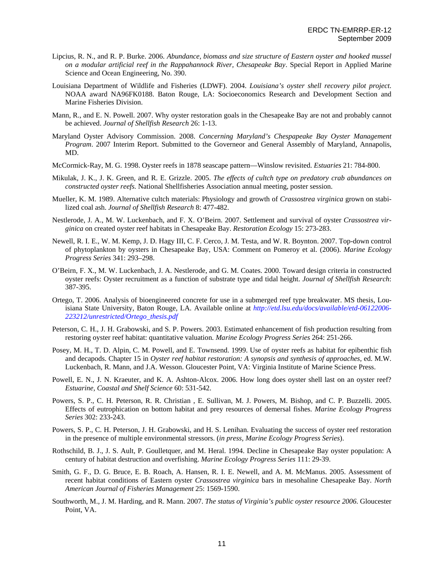- Lipcius, R. N., and R. P. Burke. 2006. *Abundance, biomass and size structure of Eastern oyster and hooked mussel on a modular artificial reef in the Rappahannock River, Chesapeake Bay*. Special Report in Applied Marine Science and Ocean Engineering, No. 390.
- Louisiana Department of Wildlife and Fisheries (LDWF). 2004. *Louisiana's oyster shell recovery pilot project*. NOAA award NA96FK0188. Baton Rouge, LA: Socioeconomics Research and Development Section and Marine Fisheries Division.
- Mann, R., and E. N. Powell. 2007. Why oyster restoration goals in the Chesapeake Bay are not and probably cannot be achieved. *Journal of Shellfish Research* 26: 1-13.
- Maryland Oyster Advisory Commission. 2008. *Concerning Maryland's Chespapeake Bay Oyster Management Program*. 2007 Interim Report. Submitted to the Governeor and General Assembly of Maryland, Annapolis, MD.
- McCormick-Ray, M. G. 1998. [Oyster reefs in 1878 seascape pattern—Winslow revisited](http://www.springerlink.com/index/430310152H1X03H7.pdf). *Estuaries* 21: 784-800.
- Mikulak, J. K., J. K. Green, and R. E. Grizzle. 2005. *The effects of cultch type on predatory crab abundances on constructed oyster reefs.* National Shellfisheries Association annual meeting, poster session.
- Mueller, K. M. 1989. Alternative cultch materials: Physiology and growth of *Crassostrea virginica* grown on stabilized coal ash. *Journal of Shellfish Research* 8: 477-482.
- Nestlerode, J. A., M. W. Luckenbach, and F. X. O'Beirn. 2007. Settlement and survival of oyster *Crassostrea virginica* on created oyster reef habitats in Chesapeake Bay. *Restoration Ecology* 15: 273-283.
- Newell, R. I. E., W. M. Kemp, J. D. Hagy III, C. F. Cerco, J. M. Testa, and W. R. Boynton. 2007. Top-down control of phytoplankton by oysters in Chesapeake Bay, USA: Comment on Pomeroy et al. (2006). *Marine Ecology Progress Series* 341: 293–298.
- O'Beirn, F. X., M. W. Luckenbach, J. A. Nestlerode, and G. M. Coates. 2000. Toward design criteria in constructed oyster reefs: Oyster recruitment as a function of substrate type and tidal height. *Journal of Shellfish Research*: 387-395.
- Ortego, T. 2006. Analysis of bioengineered concrete for use in a submerged reef type breakwater. MS thesis, Louisiana State University, Baton Rouge, LA. Available online at *[http://etd.lsu.edu/docs/available/etd-06122006-](http://etd.lsu.edu/docs/available/etd-06122006-223212/unrestricted/Ortego_thesis.pdf) [223212/unrestricted/Ortego\\_thesis.pdf](http://etd.lsu.edu/docs/available/etd-06122006-223212/unrestricted/Ortego_thesis.pdf)*
- Peterson, C. H., J. H. Grabowski, and S. P. Powers. 2003. Estimated enhancement of fish production resulting from restoring oyster reef habitat: quantitative valuation. *Marine Ecology Progress Series* 264: 251-266.
- Posey, M. H., T. D. Alpin, C. M. Powell, and E. Townsend. 1999. Use of oyster reefs as habitat for epibenthic fish and decapods. Chapter 15 in *Oyster reef habitat restoration: A synopsis and synthesis of approaches, ed. M.W.* Luckenbach, R. Mann, and J.A. Wesson. Gloucester Point, VA: Virginia Institute of Marine Science Press.
- Powell, E. N., J. N. Kraeuter, and K. A. Ashton-Alcox. 2006. How long does oyster shell last on an oyster reef? *Estuarine, Coastal and Shelf Science* 60: 531-542.
- Powers, S. P., C. H. Peterson, R. R. Christian , E. Sullivan, M. J. Powers, M. Bishop, and C. P. Buzzelli. 2005. Effects of eutrophication on bottom habitat and prey resources of demersal fishes. *Marine Ecology Progress Series* 302: 233-243.
- Powers, S. P., C. H. Peterson, J. H. Grabowski, and H. S. Lenihan. Evaluating the success of oyster reef restoration in the presence of multiple environmental stressors. (*in press, Marine Ecology Progress Series*).
- Rothschild, B. J., J. S. Ault, P. Goulletquer, and M. Heral. 1994. Decline in Chesapeake Bay oyster population: A century of habitat destruction and overfishing. *Marine Ecology Progress Series* 111: 29-39.
- Smith, G. F., D. G. Bruce, E. B. Roach, A. Hansen, R. I. E. Newell, and A. M. McManus. 2005. Assessment of recent habitat conditions of Eastern oyster *Crassostrea virginica* bars in mesohaline Chesapeake Bay. *North American Journal of Fisheries Management* 25: 1569-1590.
- Southworth, M., J. M. Harding, and R. Mann. 2007. *The status of Virginia's public oyster resource 2006*. Gloucester Point, VA.